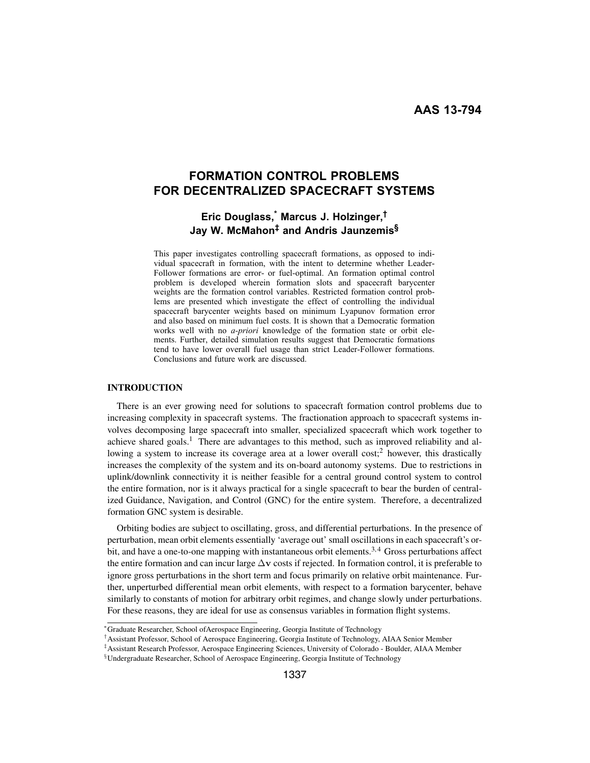# **FORMATION CONTROL PROBLEMS FOR DECENTRALIZED SPACECRAFT SYSTEMS**

## **Eric Douglass,\* Marcus J. Holzinger,† Jay W. McMahon‡ and Andris Jaunzemis§**

This paper investigates controlling spacecraft formations, as opposed to individual spacecraft in formation, with the intent to determine whether Leader-Follower formations are error- or fuel-optimal. An formation optimal control problem is developed wherein formation slots and spacecraft barycenter weights are the formation control variables. Restricted formation control problems are presented which investigate the effect of controlling the individual spacecraft barycenter weights based on minimum Lyapunov formation error and also based on minimum fuel costs. It is shown that a Democratic formation works well with no *a-priori* knowledge of the formation state or orbit elements. Further, detailed simulation results suggest that Democratic formations tend to have lower overall fuel usage than strict Leader-Follower formations. Conclusions and future work are discussed.

## INTRODUCTION

There is an ever growing need for solutions to spacecraft formation control problems due to increasing complexity in spacecraft systems. The fractionation approach to spacecraft systems involves decomposing large spacecraft into smaller, specialized spacecraft which work together to achieve shared goals.<sup>1</sup> There are advantages to this method, such as improved reliability and allowing a system to increase its coverage area at a lower overall cost;<sup>2</sup> however, this drastically increases the complexity of the system and its on-board autonomy systems. Due to restrictions in uplink/downlink connectivity it is neither feasible for a central ground control system to control the entire formation, nor is it always practical for a single spacecraft to bear the burden of centralized Guidance, Navigation, and Control (GNC) for the entire system. Therefore, a decentralized formation GNC system is desirable.

Orbiting bodies are subject to oscillating, gross, and differential perturbations. In the presence of perturbation, mean orbit elements essentially 'average out' small oscillations in each spacecraft's orbit, and have a one-to-one mapping with instantaneous orbit elements.<sup>3,4</sup> Gross perturbations affect the entire formation and can incur large <sup>Δ</sup>**v** costs if rejected. In formation control, it is preferable to ignore gross perturbations in the short term and focus primarily on relative orbit maintenance. Further, unperturbed differential mean orbit elements, with respect to a formation barycenter, behave similarly to constants of motion for arbitrary orbit regimes, and change slowly under perturbations. For these reasons, they are ideal for use as consensus variables in formation flight systems.

<sup>∗</sup>Graduate Researcher, School ofAerospace Engineering, Georgia Institute of Technology

<sup>†</sup>Assistant Professor, School of Aerospace Engineering, Georgia Institute of Technology, AIAA Senior Member

<sup>‡</sup>Assistant Research Professor, Aerospace Engineering Sciences, University of Colorado - Boulder, AIAA Member

<sup>§</sup>Undergraduate Researcher, School of Aerospace Engineering, Georgia Institute of Technology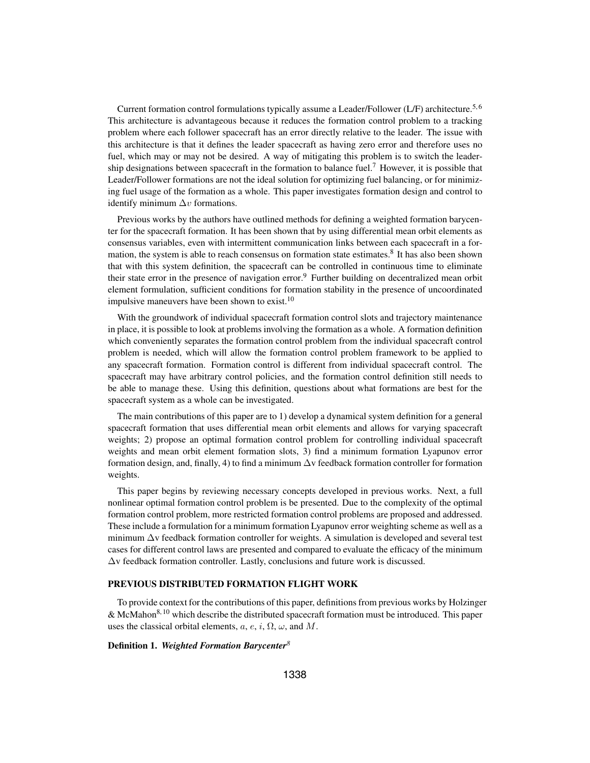Current formation control formulations typically assume a Leader/Follower (L/F) architecture.<sup>5, 6</sup> This architecture is advantageous because it reduces the formation control problem to a tracking problem where each follower spacecraft has an error directly relative to the leader. The issue with this architecture is that it defines the leader spacecraft as having zero error and therefore uses no fuel, which may or may not be desired. A way of mitigating this problem is to switch the leadership designations between spacecraft in the formation to balance fuel.<sup>7</sup> However, it is possible that Leader/Follower formations are not the ideal solution for optimizing fuel balancing, or for minimizing fuel usage of the formation as a whole. This paper investigates formation design and control to identify minimum  $\Delta v$  formations.

Previous works by the authors have outlined methods for defining a weighted formation barycenter for the spacecraft formation. It has been shown that by using differential mean orbit elements as consensus variables, even with intermittent communication links between each spacecraft in a formation, the system is able to reach consensus on formation state estimates.<sup>8</sup> It has also been shown that with this system definition, the spacecraft can be controlled in continuous time to eliminate their state error in the presence of navigation error.9 Further building on decentralized mean orbit element formulation, sufficient conditions for formation stability in the presence of uncoordinated impulsive maneuvers have been shown to exist.<sup>10</sup>

With the groundwork of individual spacecraft formation control slots and trajectory maintenance in place, it is possible to look at problems involving the formation as a whole. A formation definition which conveniently separates the formation control problem from the individual spacecraft control problem is needed, which will allow the formation control problem framework to be applied to any spacecraft formation. Formation control is different from individual spacecraft control. The spacecraft may have arbitrary control policies, and the formation control definition still needs to be able to manage these. Using this definition, questions about what formations are best for the spacecraft system as a whole can be investigated.

The main contributions of this paper are to 1) develop a dynamical system definition for a general spacecraft formation that uses differential mean orbit elements and allows for varying spacecraft weights; 2) propose an optimal formation control problem for controlling individual spacecraft weights and mean orbit element formation slots, 3) find a minimum formation Lyapunov error formation design, and, finally, 4) to find a minimum  $\Delta v$  feedback formation controller for formation weights.

This paper begins by reviewing necessary concepts developed in previous works. Next, a full nonlinear optimal formation control problem is be presented. Due to the complexity of the optimal formation control problem, more restricted formation control problems are proposed and addressed. These include a formulation for a minimum formation Lyapunov error weighting scheme as well as a minimum  $\Delta v$  feedback formation controller for weights. A simulation is developed and several test cases for different control laws are presented and compared to evaluate the efficacy of the minimum  $\Delta v$  feedback formation controller. Lastly, conclusions and future work is discussed.

#### PREVIOUS DISTRIBUTED FORMATION FLIGHT WORK

To provide context for the contributions of this paper, definitions from previous works by Holzinger & McMahon8, 10 which describe the distributed spacecraft formation must be introduced. This paper uses the classical orbital elements,  $a, e, i, \Omega, \omega$ , and M.

## Definition 1. *Weighted Formation Barycenter<sup>8</sup>*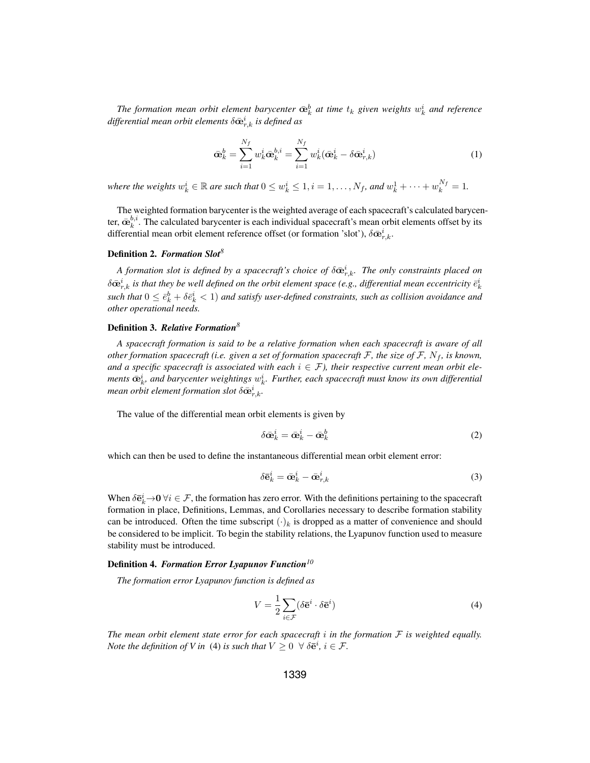The formation mean orbit element barycenter  $\bar{\mathbf{\alpha}}_k^b$  at time  $t_k$  given weights  $w_k^i$  and reference  $\mathbf{f}_k$  *formatial mean orbit elements*  $\delta \bar{\mathbf{\alpha}}_k^i$  is defined as  $d$ *ifferential mean orbit elements*  $\delta \bar{\mathbf{e}}_{r,k}^i$  *is defined as* 

$$
\bar{\mathbf{\alpha}}_k^b = \sum_{i=1}^{N_f} w_k^i \bar{\mathbf{\alpha}}_k^{b,i} = \sum_{i=1}^{N_f} w_k^i (\bar{\mathbf{\alpha}}_k^i - \delta \bar{\mathbf{\alpha}}_{r,k}^i)
$$
(1)

where the weights  $w_k^i \in \mathbb{R}$  are such that  $0 \le w_k^i \le 1$ ,  $i = 1, ..., N_f$ , and  $w_k^1 + \cdots + w_k^{N_f} = 1$ .

The weighted formation barycenter is the weighted average of each spacecraft's calculated barycenter,  $\bar{\mathbf{\alpha}}_k^{b,i}$ . The calculated barycenter is each individual spacecraft's mean orbit elements offset by its<br>differential mean orbit element reference offset (or formation 'slot').  $\delta \bar{\mathbf{\alpha}}^i$ differential mean orbit element reference offset (or formation 'slot'),  $\delta \bar{\mathbf{\omega}}_{r,k}^i$ .

## Definition 2. *Formation Slot<sup>8</sup>*

*A formation slot is defined by a spacecraft's choice of*  $\delta \bar{\mathbf{e}}_{r,k}^i$ . The only constraints placed on  $\hat{\mathbf{e}}_k$  is that the decay of denotes a decay of a space of  $\hat{\mathbf{e}}_k$  is that the decay of decay of a spa  $\delta \bar{\mathbf{\alpha}}_{r,k}^i$  is that they be well defined on the orbit element space (e.g., differential mean eccentricity  $\bar{e}_k^i$  $such$  that  $0 \leq \bar{e}_k^b + \delta \bar{e}_k^i < 1$ ) and satisfy user-defined constraints, such as collision avoidance and *other operational needs.*

## Definition 3. *Relative Formation<sup>8</sup>*

*A spacecraft formation is said to be a relative formation when each spacecraft is aware of all other formation spacecraft (i.e. given a set of formation spacecraft*  $F$ *, the size of*  $F$ *, N<sub>f</sub>*, *is known*, and a specific spacecraft is associated with each  $i \in \mathcal{F}$ ), their respective current mean orbit elements  $\bar{\mathbf{e}}_k^i$ , and barycenter weightings  $w_k^i$ . Further, each spacecraft must know its own differential<br>mean orbit element formation slot  $\delta \bar{\mathbf{e}}^i$ .  $\vec{r}_{m}$  *mean orbit element formation slot*  $\delta \bar{\mathbf{\Phi}}_{r,k}^{i}$ .

The value of the differential mean orbit elements is given by

$$
\delta \bar{\mathbf{\alpha}}_k^i = \bar{\mathbf{\alpha}}_k^i - \bar{\mathbf{\alpha}}_k^b \tag{2}
$$

which can then be used to define the instantaneous differential mean orbit element error:

$$
\delta \bar{\mathbf{e}}_k^i = \bar{\mathbf{\omega}}_k^i - \bar{\mathbf{\omega}}_{r,k}^i
$$
 (3)

When  $\delta \bar{\mathbf{e}}_k^i \to 0 \ \forall i \in \mathcal{F}$ , the formation has zero error. With the definitions pertaining to the spacecraft formation in place. Definitions I emmas, and Corollaries persessary to describe formation stability formation in place, Definitions, Lemmas, and Corollaries necessary to describe formation stability can be introduced. Often the time subscript  $(\cdot)_k$  is dropped as a matter of convenience and should be considered to be implicit. To begin the stability relations, the Lyapunov function used to measure stability must be introduced.

#### Definition 4. *Formation Error Lyapunov Function<sup>10</sup>*

*The formation error Lyapunov function is defined as*

$$
V = \frac{1}{2} \sum_{i \in \mathcal{F}} (\delta \mathbf{\bar{e}}^i \cdot \delta \mathbf{\bar{e}}^i)
$$
 (4)

The mean orbit element state error for each spacecraft  $i$  in the formation  $F$  is weighted equally. *Note the definition of V in* (4) *is such that*  $V \geq 0 \ \ \forall \ \delta \mathbf{e}^i, \ i \in \mathcal{F}$ .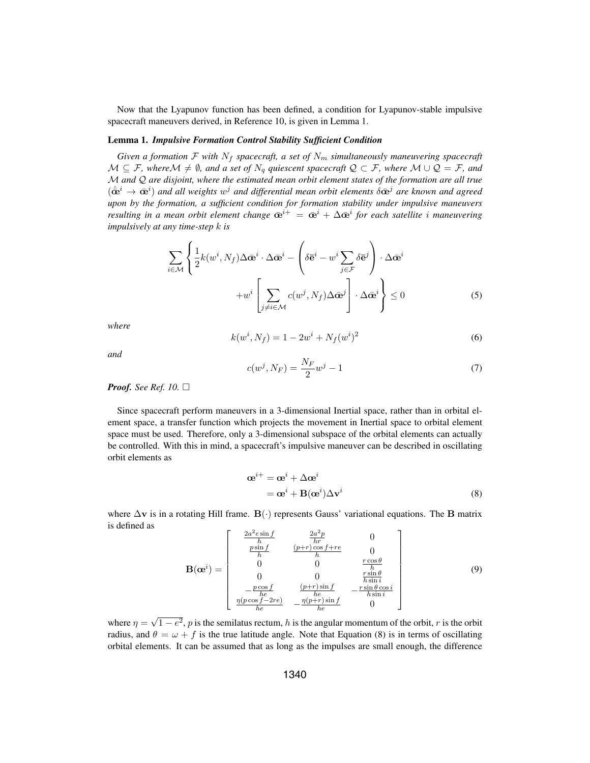Now that the Lyapunov function has been defined, a condition for Lyapunov-stable impulsive spacecraft maneuvers derived, in Reference 10, is given in Lemma 1.

## Lemma 1. *Impulsive Formation Control Stability Sufficient Condition*

*Given a formation*  $\mathcal F$  *with*  $N_f$  *spacecraft, a set of*  $N_m$  *simultaneously maneuvering spacecraft*  $M ⊆ F$ *, where* $M ≠ ∅$ *, and a set of*  $N_q$  *quiescent spacecraft*  $Q ⊂ F$ *, where*  $M ∪ Q = F$ *, and* M *and* Q *are disjoint, where the estimated mean orbit element states of the formation are all true*  $(\hat{\mathbf{c}}^i \rightarrow \hat{\mathbf{c}}^i)$  and all weights  $w^j$  and differential mean orbit elements  $\delta \mathbf{\bar{c}}^j$  are known and agreed<br>upon by the formation, a sufficient condition for formation stability under impulsive manauyers *upon by the formation, a sufficient condition for formation stability under impulsive maneuvers resulting in a mean orbit element change*  $\bar{\mathbf{e}}^{i+} = \bar{\mathbf{e}}^i + \Delta \bar{\mathbf{e}}^i$  *for each satellite i maneuvering impulsively at any time-step* k *is*

$$
\sum_{i \in \mathcal{M}} \left\{ \frac{1}{2} k(w^i, N_f) \Delta \bar{\mathbf{\alpha}}^i \cdot \Delta \bar{\mathbf{\alpha}}^i - \left( \delta \bar{\mathbf{e}}^i - w^i \sum_{j \in \mathcal{F}} \delta \bar{\mathbf{e}}^j \right) \cdot \Delta \bar{\mathbf{\alpha}}^i + w^i \left[ \sum_{j \neq i \in \mathcal{M}} c(w^j, N_f) \Delta \bar{\mathbf{\alpha}}^j \right] \cdot \Delta \bar{\mathbf{\alpha}}^i \right\} \le 0
$$
\n(5)

*where*

$$
k(w^i, N_f) = 1 - 2w^i + N_f(w^i)^2
$$
\n(6)

*and*

$$
c(w^j, N_F) = \frac{N_F}{2}w^j - 1
$$
\n(7)

## *Proof.* See Ref. 10.  $\Box$

Since spacecraft perform maneuvers in a 3-dimensional Inertial space, rather than in orbital element space, a transfer function which projects the movement in Inertial space to orbital element space must be used. Therefore, only a 3-dimensional subspace of the orbital elements can actually be controlled. With this in mind, a spacecraft's impulsive maneuver can be described in oscillating orbit elements as

$$
\begin{aligned} \n\boldsymbol{\alpha}^{i+} &= \boldsymbol{\alpha}^i + \Delta \boldsymbol{\alpha}^i \\ \n&= \boldsymbol{\alpha}^i + \mathbf{B}(\boldsymbol{\alpha}^i) \Delta \mathbf{v}^i \n\end{aligned} \tag{8}
$$

where <sup>Δ</sup>**v** is in a rotating Hill frame. **B**(·) represents Gauss' variational equations. The **B** matrix is defined as  $2^2$ 

$$
\mathbf{B}(\mathbf{\alpha}^{i}) = \begin{bmatrix} \frac{2a^{2}e\sin f}{h} & \frac{2a^{2}p}{hr} & 0\\ \frac{p\sin f}{h} & \frac{(p+r)\cos f + re}{h} & 0\\ 0 & 0 & \frac{r\cos\theta}{h} \\ 0 & 0 & \frac{r\sin\theta}{h\sin i} \\ -\frac{p\cos f}{he} & \frac{(p+r)\sin f}{he} & -\frac{r\sin\theta\cos i}{h\sin i} \\ \frac{\eta(p\cos f - 2re)}{he} & -\frac{\eta(p+r)\sin f}{he} & 0 \end{bmatrix}
$$
(9)

where  $\eta = \sqrt{1 - e^2}$ , p is the semilatus rectum, h is the angular momentum of the orbit, r is the orbit radius, and  $\theta = \omega + f$  is the true latitude angle. Note that Equation (8) is in terms of oscillating orbital elements. It can be assumed that as long as the impulses are small enough, the difference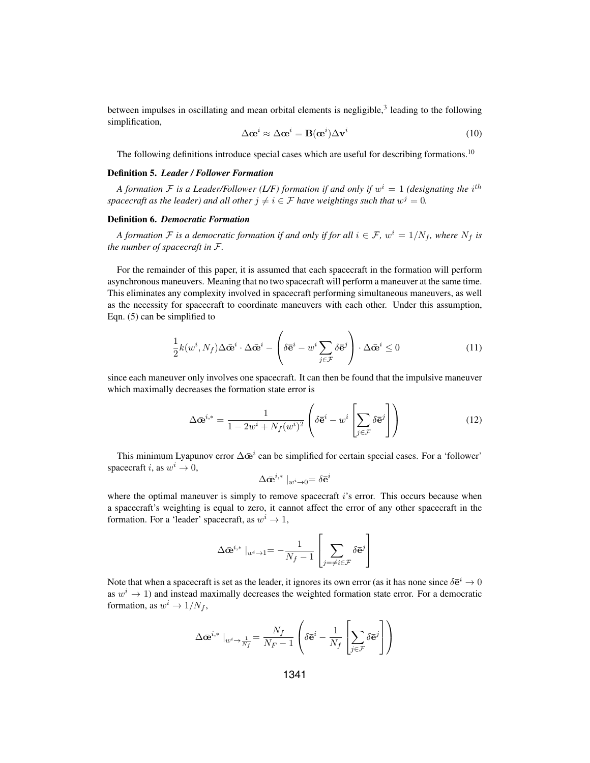between impulses in oscillating and mean orbital elements is negligible,<sup>3</sup> leading to the following simplification,

$$
\Delta \bar{\mathbf{\alpha}}^i \approx \Delta \mathbf{\alpha}^i = \mathbf{B}(\mathbf{\alpha}^i) \Delta \mathbf{v}^i
$$
 (10)

The following definitions introduce special cases which are useful for describing formations.<sup>10</sup>

#### Definition 5. *Leader / Follower Formation*

*A formation*  $\mathcal F$  *is a Leader/Follower (L/F) formation if and only if*  $w^i = 1$  *(designating the i*<sup>th</sup> *spacecraft as the leader) and all other*  $j \neq i \in \mathcal{F}$  *have weightings such that*  $w^j = 0$ *.* 

## Definition 6. *Democratic Formation*

*A formation*  $\mathcal F$  *is a democratic formation if and only if for all*  $i \in \mathcal F$ *, w*<sup>*i*</sup> = 1/ $N_f$ *, where*  $N_f$  *is the number of spacecraft in* F*.*

For the remainder of this paper, it is assumed that each spacecraft in the formation will perform asynchronous maneuvers. Meaning that no two spacecraft will perform a maneuver at the same time. This eliminates any complexity involved in spacecraft performing simultaneous maneuvers, as well as the necessity for spacecraft to coordinate maneuvers with each other. Under this assumption, Eqn. (5) can be simplified to

$$
\frac{1}{2}k(w^i, N_f)\Delta \bar{\mathbf{\alpha}}^i \cdot \Delta \bar{\mathbf{\alpha}}^i - \left(\delta \bar{\mathbf{e}}^i - w^i \sum_{j \in \mathcal{F}} \delta \bar{\mathbf{e}}^j\right) \cdot \Delta \bar{\mathbf{\alpha}}^i \le 0 \tag{11}
$$

since each maneuver only involves one spacecraft. It can then be found that the impulsive maneuver which maximally decreases the formation state error is

$$
\Delta \bar{\mathbf{\omega}}^{i,*} = \frac{1}{1 - 2w^i + N_f(w^i)^2} \left( \delta \bar{\mathbf{e}}^i - w^i \left[ \sum_{j \in \mathcal{F}} \delta \bar{\mathbf{e}}^j \right] \right)
$$
(12)

This minimum Lyapunov error  $\Delta \bar{\mathbf{e}}^i$  can be simplified for certain special cases. For a 'follower' spacecraft i, as  $w^i \to 0$ ,

$$
\Delta \bar{\mathbf{e}}^{i,*} \mid_{w^i \to 0} = \delta \bar{\mathbf{e}}^i
$$

where the optimal maneuver is simply to remove spacecraft  $i$ 's error. This occurs because when a spacecraft's weighting is equal to zero, it cannot affect the error of any other spacecraft in the formation. For a 'leader' spacecraft, as  $w^i \rightarrow 1$ ,

$$
\Delta \bar{\mathbf{\omega}}^{i,*} \mid_{w^i \to 1} = -\frac{1}{N_f - 1} \left[ \sum_{j = \neq i \in \mathcal{F}} \delta \bar{\mathbf{e}}^j \right]
$$

Note that when a spacecraft is set as the leader, it ignores its own error (as it has none since  $\delta \mathbf{\bar{e}}^i \to 0$ as  $w^i \rightarrow 1$ ) and instead maximally decreases the weighted formation state error. For a democratic formation, as  $w^i \rightarrow 1/N_f$ ,

$$
\Delta \bar{\mathbf{\Phi}}^{i,*} \mid_{w^i \to \frac{1}{N_f}} = \frac{N_f}{N_F - 1} \left( \delta \bar{\mathbf{e}}^i - \frac{1}{N_f} \left[ \sum_{j \in \mathcal{F}} \delta \bar{\mathbf{e}}^j \right] \right)
$$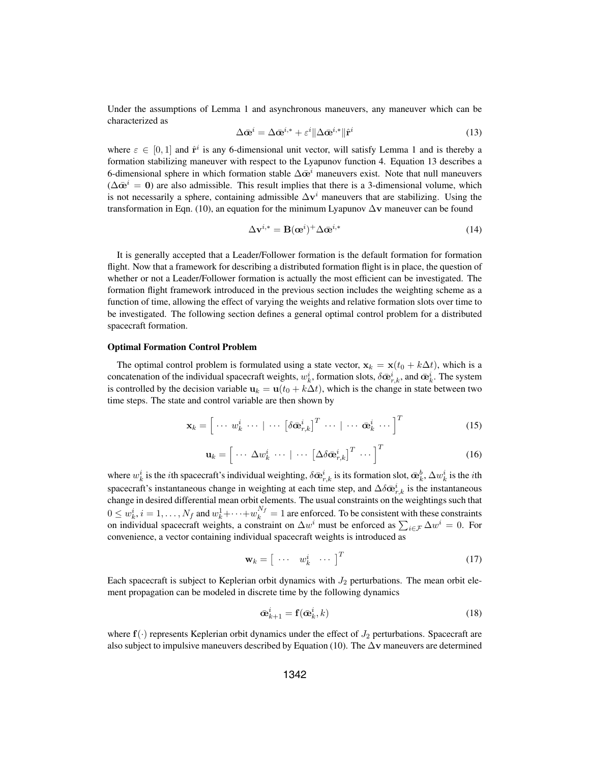Under the assumptions of Lemma 1 and asynchronous maneuvers, any maneuver which can be characterized as

$$
\Delta \bar{\mathbf{\omega}}^i = \Delta \bar{\mathbf{\omega}}^{i,*} + \varepsilon^i \| \Delta \bar{\mathbf{\omega}}^{i,*} \| \hat{\mathbf{r}}^i \tag{13}
$$

where  $\varepsilon \in [0,1]$  and  $\hat{\mathbf{r}}^i$  is any 6-dimensional unit vector, will satisfy Lemma 1 and is thereby a formation stabilizing maneuver with respect to the Lyapunov function 4. Equation 13 describes a 6-dimensional sphere in which formation stable  $\Delta \bar{\mathbf{\omega}}^i$  maneuvers exist. Note that null maneuvers  $(\Delta \bar{\mathbf{\alpha}}^i = \mathbf{0})$  are also admissible. This result implies that there is a 3-dimensional volume, which is not necessarily a sphere, containing admissible  $\Delta \mathbf{v}^i$  maneuvers that are stabilizing. Using the transformation in Eqn. (10), an equation for the minimum Lyapunov <sup>Δ</sup>**v** maneuver can be found

$$
\Delta \mathbf{v}^{i,*} = \mathbf{B}(\mathbf{\alpha}^i)^+ \Delta \bar{\mathbf{\alpha}}^{i,*}
$$
 (14)

It is generally accepted that a Leader/Follower formation is the default formation for formation flight. Now that a framework for describing a distributed formation flight is in place, the question of whether or not a Leader/Follower formation is actually the most efficient can be investigated. The formation flight framework introduced in the previous section includes the weighting scheme as a function of time, allowing the effect of varying the weights and relative formation slots over time to be investigated. The following section defines a general optimal control problem for a distributed spacecraft formation.

## Optimal Formation Control Problem

The optimal control problem is formulated using a state vector,  $\mathbf{x}_k = \mathbf{x}(t_0 + k\Delta t)$ , which is a concatenation of the individual spacecraft weights,  $w_k^i$ , formation slots,  $\delta \bar{\mathbf{\omega}}_k^i$ , and  $\bar{\mathbf{\omega}}_k^i$ . The system is controlled by the decision variable  $\mathbf{u}_k = \mathbf{u}(t_k + k\Delta t)$ , which is the change in state b is controlled by the decision variable  $\mathbf{u}_k = \mathbf{u}(t_0 + k\Delta t)$ , which is the change in state between two time steps. The state and control variable are then shown by

$$
\mathbf{x}_{k} = \left[ \cdots w_{k}^{i} \cdots \mid \cdots \left[ \delta \bar{\mathbf{\alpha}}_{r,k}^{i} \right]^{T} \cdots \mid \cdots \bar{\mathbf{\alpha}}_{k}^{i} \cdots \right]^{T} \tag{15}
$$

$$
\mathbf{u}_{k} = \left[ \cdots \Delta w_{k}^{i} \cdots \mid \cdots \left[ \Delta \delta \bar{\mathbf{\Phi}}_{r,k}^{i} \right]^{T} \cdots \right]^{T}
$$
 (16)

where  $w_k^i$  is the *i*th spacecraft's individual weighting,  $\delta \bar{\mathbf{\omega}}_k^i$  is its formation slot,  $\bar{\mathbf{\omega}}_k^b$ ,  $\Delta w_k^i$  is the *i*th<br>consequently instantaneous alongs in putchting at each time step, and  $\Delta \bar{s} = i$ , spacecraft's instantaneous change in weighting at each time step, and  $\Delta \delta \bar{\mathbf{e}}_{r,k}^i$  is the instantaneous change in desired differential mean orbit elements. The usual constraints on the weightings such that change in desired differential mean orbit elements. The usual constraints on the weightings such that  $0 \leq w_k^i$ ,  $i = 1, ..., N_f$  and  $w_k^1 + \cdots + w_k^{N_f} = 1$  are enforced. To be consistent with these constraints on individual spacecraft weights, a constraint on  $\Delta w^i$  must be enforced as  $\sum_{i \in \mathcal{F}} \Delta w^i = 0$ . For convenience, a vector containing individual spacecraft weights is introduced as

$$
\mathbf{w}_k = \begin{bmatrix} \cdots & w_k^i & \cdots \end{bmatrix}^T \tag{17}
$$

Each spacecraft is subject to Keplerian orbit dynamics with  $J_2$  perturbations. The mean orbit element propagation can be modeled in discrete time by the following dynamics

$$
\bar{\mathbf{\alpha}}_{k+1}^i = \mathbf{f}(\bar{\mathbf{\alpha}}_k^i, k) \tag{18}
$$

where  $f(\cdot)$  represents Keplerian orbit dynamics under the effect of  $J_2$  perturbations. Spacecraft are also subject to impulsive maneuvers described by Equation (10). The <sup>Δ</sup>**v** maneuvers are determined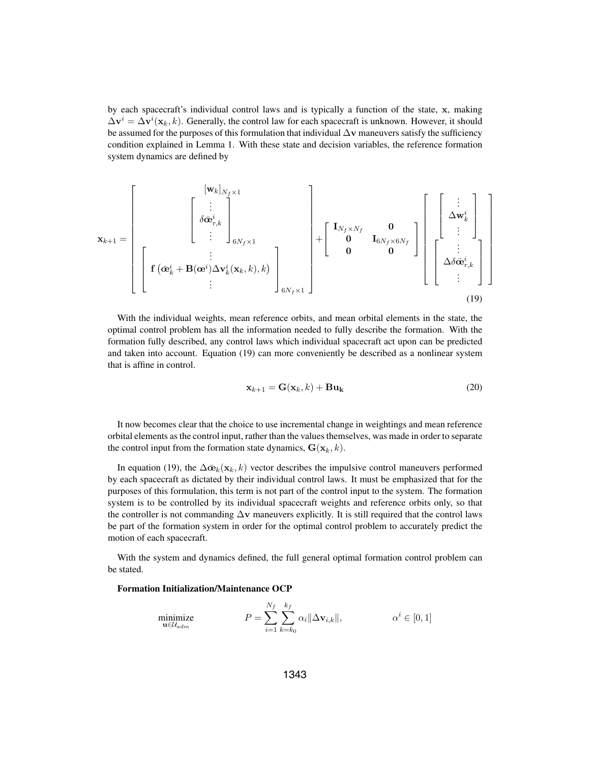by each spacecraft's individual control laws and is typically a function of the state, **x**, making  $\Delta \mathbf{v}^i = \Delta \mathbf{v}^i(\mathbf{x}_k, k)$ . Generally, the control law for each spacecraft is unknown. However, it should be assumed for the purposes of this formulation that individual <sup>Δ</sup>**v** maneuvers satisfy the sufficiency condition explained in Lemma 1. With these state and decision variables, the reference formation system dynamics are defined by

$$
\mathbf{x}_{k+1} = \begin{bmatrix} [\mathbf{w}_k]_{N_f \times 1} \\ \vdots \\ \delta \bar{\mathbf{\Phi}}_{r,k}^i \\ \vdots \end{bmatrix}_{6N_f \times 1} + \begin{bmatrix} [\mathbf{w}_k]_{N_f \times 1} \\ \delta \bar{\mathbf{\Phi}}_{r,k}^i \\ \vdots \\ \delta \bar{\mathbf{w}}_r^i \end{bmatrix} + \begin{bmatrix} \mathbf{I}_{N_f \times N_f} & \mathbf{0} \\ \mathbf{0} & \mathbf{I}_{6N_f \times 6N_f} \\ \mathbf{0} & \mathbf{0} \end{bmatrix} \begin{bmatrix} [\begin{array}{c} \vdots \\ \Delta \mathbf{w}_k^i \\ \vdots \\ \Delta \delta \bar{\mathbf{\Phi}}_{r,k}^i \\ \vdots \end{array}]
$$
  
(19)

With the individual weights, mean reference orbits, and mean orbital elements in the state, the optimal control problem has all the information needed to fully describe the formation. With the formation fully described, any control laws which individual spacecraft act upon can be predicted and taken into account. Equation (19) can more conveniently be described as a nonlinear system that is affine in control.

$$
\mathbf{x}_{k+1} = \mathbf{G}(\mathbf{x}_k, k) + \mathbf{B} \mathbf{u}_k
$$
 (20)

It now becomes clear that the choice to use incremental change in weightings and mean reference orbital elements as the control input, rather than the values themselves, was made in order to separate the control input from the formation state dynamics,  $\mathbf{G}(\mathbf{x}_k, k)$ .

In equation (19), the  $\Delta \bar{\boldsymbol{\alpha}}_k(\mathbf{x}_k, k)$  vector describes the impulsive control maneuvers performed by each spacecraft as dictated by their individual control laws. It must be emphasized that for the purposes of this formulation, this term is not part of the control input to the system. The formation system is to be controlled by its individual spacecraft weights and reference orbits only, so that the controller is not commanding  $\Delta v$  maneuvers explicitly. It is still required that the control laws be part of the formation system in order for the optimal control problem to accurately predict the motion of each spacecraft.

With the system and dynamics defined, the full general optimal formation control problem can be stated.

## Formation Initialization/Maintenance OCP

$$
\underset{\mathbf{u}\in\mathcal{U}_{adm}}{\text{minimize}} \qquad P = \sum_{i=1}^{N_f} \sum_{k=k_0}^{k_f} \alpha_i ||\Delta \mathbf{v}_{i,k}||, \qquad \alpha^i \in [0,1]
$$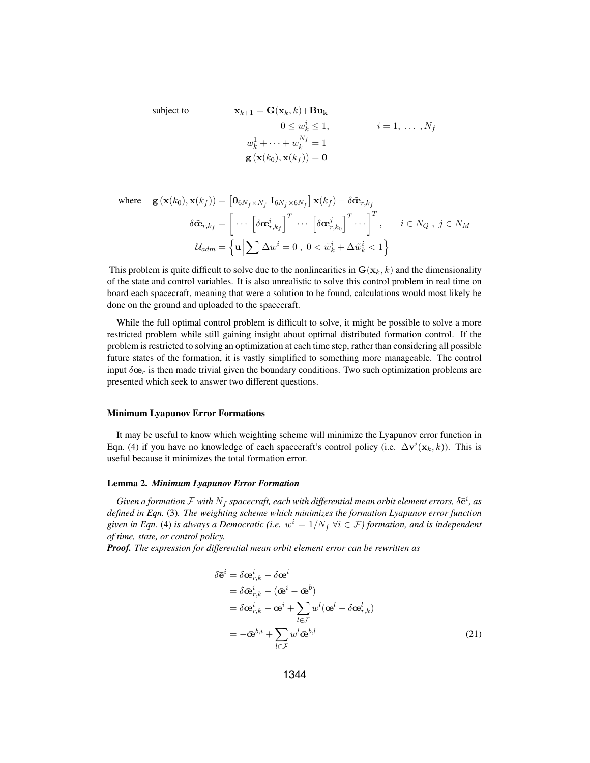subject to  
\n
$$
\mathbf{x}_{k+1} = \mathbf{G}(\mathbf{x}_k, k) + \mathbf{B}\mathbf{u}_k
$$
\n
$$
0 \leq w_k^i \leq 1, \qquad i = 1, \dots, N_f
$$
\n
$$
w_k^1 + \dots + w_k^{N_f} = 1
$$
\n
$$
\mathbf{g}(\mathbf{x}(k_0), \mathbf{x}(k_f)) = \mathbf{0}
$$

where 
$$
\mathbf{g}(\mathbf{x}(k_0), \mathbf{x}(k_f)) = [\mathbf{0}_{6N_f \times N_f} \mathbf{I}_{6N_f \times 6N_f}] \mathbf{x}(k_f) - \delta \tilde{\mathbf{\alpha}}_{r,k_f}
$$

$$
\delta \tilde{\mathbf{\alpha}}_{r,k_f} = \begin{bmatrix} \cdots \left[ \delta \bar{\mathbf{\alpha}}_{r,k_f}^i \right]^T \cdots \left[ \delta \bar{\mathbf{\alpha}}_{r,k_0}^j \right]^T \cdots \right]^T, \quad i \in N_Q, \ j \in N_M
$$

$$
\mathcal{U}_{adm} = \left\{ \mathbf{u} \left| \sum \Delta w^i = 0, \ 0 < \tilde{w}_k^i + \Delta \tilde{w}_k^i < 1 \right\} \right\}
$$

This problem is quite difficult to solve due to the nonlinearities in  $\mathbf{G}(\mathbf{x}_k, k)$  and the dimensionality of the state and control variables. It is also unrealistic to solve this control problem in real time on board each spacecraft, meaning that were a solution to be found, calculations would most likely be done on the ground and uploaded to the spacecraft.

While the full optimal control problem is difficult to solve, it might be possible to solve a more restricted problem while still gaining insight about optimal distributed formation control. If the problem is restricted to solving an optimization at each time step, rather than considering all possible future states of the formation, it is vastly simplified to something more manageable. The control input  $\delta \bar{\mathbf{e}}_r$  is then made trivial given the boundary conditions. Two such optimization problems are presented which seek to answer two different questions.

### Minimum Lyapunov Error Formations

It may be useful to know which weighting scheme will minimize the Lyapunov error function in Eqn. (4) if you have no knowledge of each spacecraft's control policy (i.e.  $\Delta \mathbf{v}^i(\mathbf{x}_k, k)$ ). This is useful because it minimizes the total formation error.

## Lemma 2. *Minimum Lyapunov Error Formation*

*Given a formation*  $\mathcal F$  *with*  $N_f$  *spacecraft, each with differential mean orbit element errors,*  $\delta \bar{\mathbf{e}}^i$ *, as fined in Eqn.* (3) The weighting scheme which minimizes the formation I vanuary error function *defined in Eqn.* (3)*. The weighting scheme which minimizes the formation Lyapunov error function given in Eqn.* (4) *is always a Democratic (i.e.*  $w^i = 1/N_f \ \forall i \in \mathcal{F}$ ) formation, and is independent *of time, state, or control policy.*

*Proof. The expression for differential mean orbit element error can be rewritten as*

$$
\delta \bar{\mathbf{e}}^i = \delta \bar{\mathbf{\alpha}}^i_{r,k} - \delta \bar{\mathbf{\alpha}}^i
$$
  
\n
$$
= \delta \bar{\mathbf{\alpha}}^i_{r,k} - (\bar{\mathbf{\alpha}}^i - \bar{\mathbf{\alpha}}^b)
$$
  
\n
$$
= \delta \bar{\mathbf{\alpha}}^i_{r,k} - \bar{\mathbf{\alpha}}^i + \sum_{l \in \mathcal{F}} w^l (\bar{\mathbf{\alpha}}^l - \delta \bar{\mathbf{\alpha}}^l_{r,k})
$$
  
\n
$$
= -\bar{\mathbf{\alpha}}^{b,i} + \sum_{l \in \mathcal{F}} w^l \bar{\mathbf{\alpha}}^{b,l}
$$
 (21)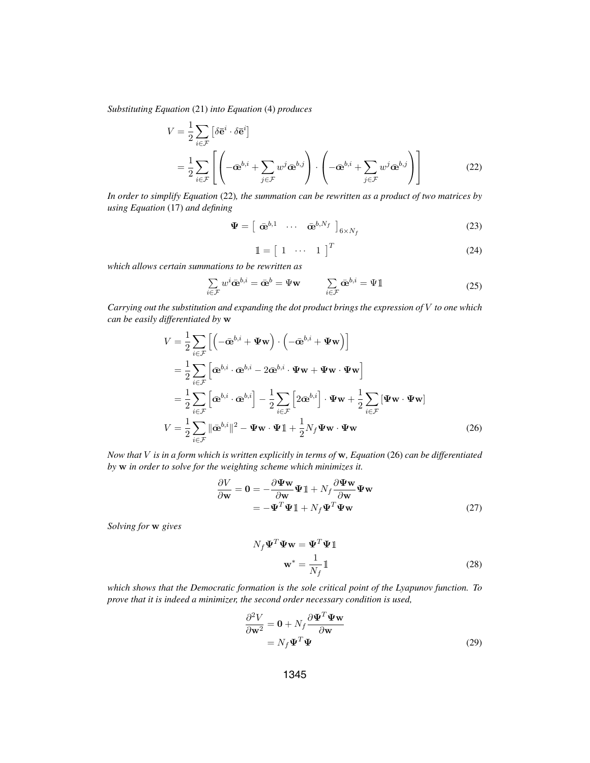*Substituting Equation* (21) *into Equation* (4) *produces*

$$
V = \frac{1}{2} \sum_{i \in \mathcal{F}} \left[ \delta \bar{\mathbf{e}}^i \cdot \delta \bar{\mathbf{e}}^i \right]
$$
  
= 
$$
\frac{1}{2} \sum_{i \in \mathcal{F}} \left[ \left( -\bar{\mathbf{\Phi}}^{b,i} + \sum_{j \in \mathcal{F}} w^j \bar{\mathbf{\Phi}}^{b,j} \right) \cdot \left( -\bar{\mathbf{\Phi}}^{b,i} + \sum_{j \in \mathcal{F}} w^j \bar{\mathbf{\Phi}}^{b,j} \right) \right]
$$
(22)

*In order to simplify Equation* (22)*, the summation can be rewritten as a product of two matrices by using Equation* (17) *and defining*

$$
\mathbf{\Psi} = \left[ \begin{array}{ccc} \bar{\mathbf{\alpha}}^{b,1} & \cdots & \bar{\mathbf{\alpha}}^{b,N_f} \end{array} \right]_{6 \times N_f} \tag{23}
$$

$$
\mathbb{1} = \left[ \begin{array}{ccc} 1 & \cdots & 1 \end{array} \right]^T \tag{24}
$$

*which allows certain summations to be rewritten as*

$$
\sum_{i \in \mathcal{F}} w^i \bar{\mathbf{\alpha}}^{b,i} = \bar{\mathbf{\alpha}}^b = \Psi \mathbf{w} \qquad \sum_{i \in \mathcal{F}} \bar{\mathbf{\alpha}}^{b,i} = \Psi \mathbb{1}
$$
\n(25)

*Carrying out the substitution and expanding the dot product brings the expression of* V *to one which can be easily differentiated by* **w**

$$
V = \frac{1}{2} \sum_{i \in \mathcal{F}} \left[ \left( -\bar{\mathbf{\alpha}}^{b,i} + \Psi \mathbf{w} \right) \cdot \left( -\bar{\mathbf{\alpha}}^{b,i} + \Psi \mathbf{w} \right) \right]
$$
  
\n
$$
= \frac{1}{2} \sum_{i \in \mathcal{F}} \left[ \bar{\mathbf{\alpha}}^{b,i} \cdot \bar{\mathbf{\alpha}}^{b,i} - 2 \bar{\mathbf{\alpha}}^{b,i} \cdot \Psi \mathbf{w} + \Psi \mathbf{w} \cdot \Psi \mathbf{w} \right]
$$
  
\n
$$
= \frac{1}{2} \sum_{i \in \mathcal{F}} \left[ \bar{\mathbf{\alpha}}^{b,i} \cdot \bar{\mathbf{\alpha}}^{b,i} \right] - \frac{1}{2} \sum_{i \in \mathcal{F}} \left[ 2 \bar{\mathbf{\alpha}}^{b,i} \right] \cdot \Psi \mathbf{w} + \frac{1}{2} \sum_{i \in \mathcal{F}} \left[ \Psi \mathbf{w} \cdot \Psi \mathbf{w} \right]
$$
  
\n
$$
V = \frac{1}{2} \sum_{i \in \mathcal{F}} ||\bar{\mathbf{\alpha}}^{b,i}||^2 - \Psi \mathbf{w} \cdot \Psi \mathbf{1} + \frac{1}{2} N_f \Psi \mathbf{w} \cdot \Psi \mathbf{w}
$$
(26)

*Now that* <sup>V</sup> *is in a form which is written explicitly in terms of* **w***, Equation* (26) *can be differentiated by* **w** *in order to solve for the weighting scheme which minimizes it.*

$$
\frac{\partial V}{\partial \mathbf{w}} = \mathbf{0} = -\frac{\partial \Psi \mathbf{w}}{\partial \mathbf{w}} \Psi \mathbb{1} + N_f \frac{\partial \Psi \mathbf{w}}{\partial \mathbf{w}} \Psi \mathbf{w}
$$
  
=  $-\Psi^T \Psi \mathbb{1} + N_f \Psi^T \Psi \mathbf{w}$  (27)

*Solving for* **w** *gives*

$$
N_f \Psi^T \Psi \mathbf{w} = \Psi^T \Psi \mathbb{1}
$$

$$
\mathbf{w}^* = \frac{1}{N_f} \mathbb{1}
$$
(28)

*which shows that the Democratic formation is the sole critical point of the Lyapunov function. To prove that it is indeed a minimizer, the second order necessary condition is used,*

$$
\frac{\partial^2 V}{\partial \mathbf{w}^2} = \mathbf{0} + N_f \frac{\partial \mathbf{\Psi}^T \mathbf{\Psi} \mathbf{w}}{\partial \mathbf{w}}
$$
  
=  $N_f \mathbf{\Psi}^T \mathbf{\Psi}$  (29)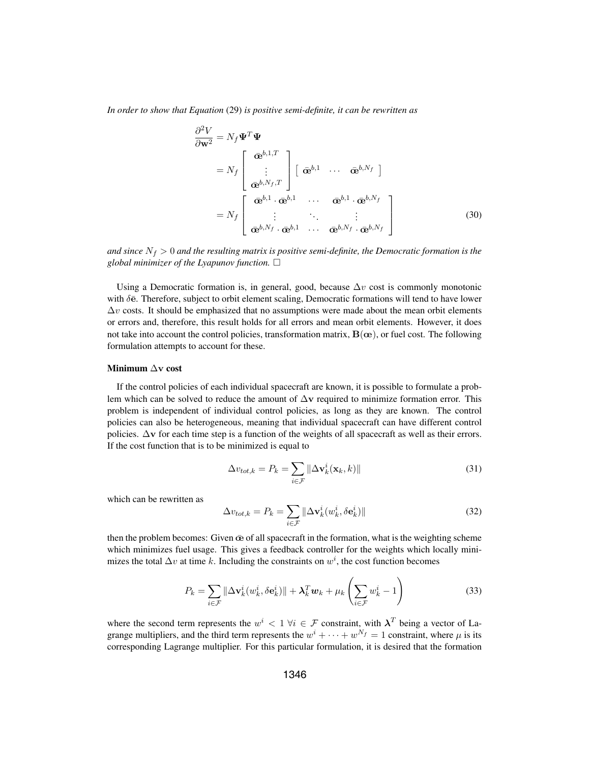*In order to show that Equation* (29) *is positive semi-definite, it can be rewritten as*

$$
\frac{\partial^2 V}{\partial \mathbf{w}^2} = N_f \mathbf{\Psi}^T \mathbf{\Psi}
$$
\n
$$
= N_f \begin{bmatrix} \bar{\mathbf{\alpha}}^{b,1,T} \\ \vdots \\ \bar{\mathbf{\alpha}}^{b,N_f,T} \end{bmatrix} \begin{bmatrix} \bar{\mathbf{\alpha}}^{b,1} & \cdots & \bar{\mathbf{\alpha}}^{b,N_f} \end{bmatrix}
$$
\n
$$
= N_f \begin{bmatrix} \bar{\mathbf{\alpha}}^{b,1} \cdot \bar{\mathbf{\alpha}}^{b,1} & \cdots & \bar{\mathbf{\alpha}}^{b,1} \cdot \bar{\mathbf{\alpha}}^{b,N_f} \\ \vdots & \ddots & \vdots \\ \bar{\mathbf{\alpha}}^{b,N_f} \cdot \bar{\mathbf{\alpha}}^{b,1} & \cdots & \bar{\mathbf{\alpha}}^{b,N_f} \cdot \bar{\mathbf{\alpha}}^{b,N_f} \end{bmatrix}
$$
\n(30)

*and since*  $N_f > 0$  *and the resulting matrix is positive semi-definite, the Democratic formation is the*  $g$ lobal minimizer of the Lyapunov function.  $\Box$ 

Using a Democratic formation is, in general, good, because  $\Delta v$  cost is commonly monotonic with  $\delta \bar{e}$ . Therefore, subject to orbit element scaling, Democratic formations will tend to have lower  $\Delta v$  costs. It should be emphasized that no assumptions were made about the mean orbit elements or errors and, therefore, this result holds for all errors and mean orbit elements. However, it does not take into account the control policies, transformation matrix, **B**(**œ**), or fuel cost. The following formulation attempts to account for these.

#### Minimum <sup>Δ</sup>**v** cost

If the control policies of each individual spacecraft are known, it is possible to formulate a problem which can be solved to reduce the amount of <sup>Δ</sup>**v** required to minimize formation error. This problem is independent of individual control policies, as long as they are known. The control policies can also be heterogeneous, meaning that individual spacecraft can have different control policies.  $\Delta v$  for each time step is a function of the weights of all spacecraft as well as their errors. If the cost function that is to be minimized is equal to

$$
\Delta v_{tot,k} = P_k = \sum_{i \in \mathcal{F}} \|\Delta \mathbf{v}_k^i(\mathbf{x}_k, k)\|
$$
\n(31)

which can be rewritten as

$$
\Delta v_{tot,k} = P_k = \sum_{i \in \mathcal{F}} \|\Delta \mathbf{v}_k^i(w_k^i, \delta \mathbf{e}_k^i)\|
$$
\n(32)

then the problem becomes: Given **œ**¯ of all spacecraft in the formation, what is the weighting scheme which minimizes fuel usage. This gives a feedback controller for the weights which locally minimizes the total  $\Delta v$  at time k. Including the constraints on  $w^i$ , the cost function becomes

$$
P_k = \sum_{i \in \mathcal{F}} \|\Delta \mathbf{v}_k^i(w_k^i, \delta \mathbf{e}_k^i)\| + \lambda_k^T \mathbf{w}_k + \mu_k \left(\sum_{i \in \mathcal{F}} w_k^i - 1\right)
$$
(33)

where the second term represents the  $w^i$  < 1  $\forall i \in \mathcal{F}$  constraint, with  $\lambda^T$  being a vector of Lagrange multipliers, and the third term represents the  $w^{i} + \cdots + w^{N_f} = 1$  constraint, where  $\mu$  is its corresponding Lagrange multiplier. For this particular formulation, it is desired that the formation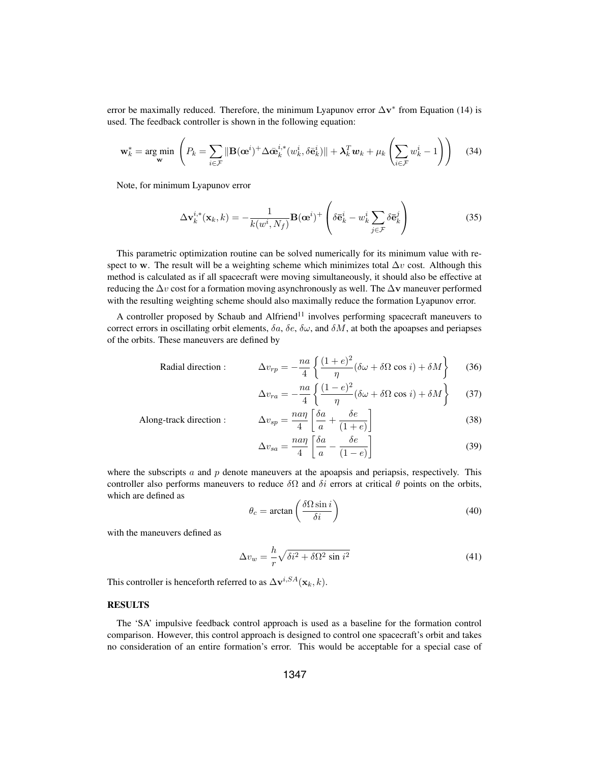error be maximally reduced. Therefore, the minimum Lyapunov error  $\Delta v^*$  from Equation (14) is used. The feedback controller is shown in the following equation:

$$
\mathbf{w}_{k}^{*} = \arg\min_{\mathbf{w}} \left( P_{k} = \sum_{i \in \mathcal{F}} \|\mathbf{B}(\mathbf{\omega}^{i})^{+} \Delta \bar{\mathbf{\omega}}_{k}^{i,*} (w_{k}^{i}, \delta \bar{\mathbf{e}}_{k}^{i}) \| + \lambda_{k}^{T} \mathbf{w}_{k} + \mu_{k} \left( \sum_{i \in \mathcal{F}} w_{k}^{i} - 1 \right) \right)
$$
(34)

Note, for minimum Lyapunov error

$$
\Delta \mathbf{v}_k^{i,*}(\mathbf{x}_k, k) = -\frac{1}{k(w^i, N_f)} \mathbf{B}(\mathbf{\omega}^i)^+ \left( \delta \bar{\mathbf{e}}_k^i - w_k^i \sum_{j \in \mathcal{F}} \delta \bar{\mathbf{e}}_k^j \right)
$$
(35)

This parametric optimization routine can be solved numerically for its minimum value with respect to **w**. The result will be a weighting scheme which minimizes total  $\Delta v$  cost. Although this method is calculated as if all spacecraft were moving simultaneously, it should also be effective at reducing the  $\Delta v$  cost for a formation moving asynchronously as well. The  $\Delta v$  maneuver performed with the resulting weighting scheme should also maximally reduce the formation Lyapunov error.

A controller proposed by Schaub and Alfriend<sup>11</sup> involves performing spacecraft maneuvers to correct errors in oscillating orbit elements,  $\delta a$ ,  $\delta e$ ,  $\delta \omega$ , and  $\delta M$ , at both the apoapses and periapses of the orbits. These maneuvers are defined by

Radial direction:

\n
$$
\Delta v_{rp} = -\frac{na}{4} \left\{ \frac{(1+e)^2}{\eta} (\delta \omega + \delta \Omega \cos i) + \delta M \right\}
$$
\n(36)

$$
\Delta v_{ra} = -\frac{na}{4} \left\{ \frac{(1-e)^2}{\eta} (\delta \omega + \delta \Omega \cos i) + \delta M \right\}
$$
 (37)

Along-track direction : 4  $\lceil \delta a$  $\frac{a}{a}$  + δe  $\overline{(1+e)}$ 1 (38)

$$
\Delta v_{sa} = \frac{na\eta}{4} \left[ \frac{\delta a}{a} - \frac{\delta e}{(1 - e)} \right]
$$
 (39)

where the subscripts  $\alpha$  and  $\beta$  denote maneuvers at the apoapsis and periapsis, respectively. This controller also performs maneuvers to reduce  $\delta\Omega$  and  $\delta i$  errors at critical  $\theta$  points on the orbits, which are defined as

$$
\theta_c = \arctan\left(\frac{\delta\Omega\sin i}{\delta i}\right) \tag{40}
$$

with the maneuvers defined as

$$
\Delta v_w = \frac{h}{r} \sqrt{\delta i^2 + \delta \Omega^2 \sin i^2}
$$
 (41)

This controller is henceforth referred to as  $\Delta \mathbf{v}^{i,SA}(\mathbf{x}_k, k)$ .

## RESULTS

The 'SA' impulsive feedback control approach is used as a baseline for the formation control comparison. However, this control approach is designed to control one spacecraft's orbit and takes no consideration of an entire formation's error. This would be acceptable for a special case of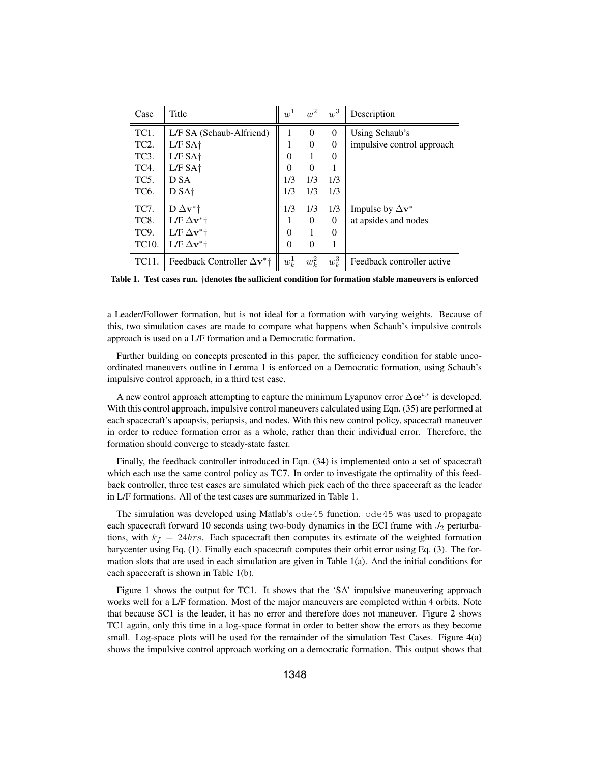| Case              | Title                                         | $w^1$    | $w^2$    | $w^3$    | Description                      |
|-------------------|-----------------------------------------------|----------|----------|----------|----------------------------------|
| TC <sub>1</sub> . | L/F SA (Schaub-Alfriend)                      | 1        | $\Omega$ | $\Omega$ | Using Schaub's                   |
| TC <sub>2</sub> . | L/F SAt                                       | 1        | 0        | $\Omega$ | impulsive control approach       |
| TC <sub>3</sub> . | L/F SAt                                       | $\theta$ |          | $\theta$ |                                  |
| TC4.              | $L/F SA+$                                     | $\theta$ | $\Omega$ |          |                                  |
| TC <sub>5</sub> . | D SA                                          | 1/3      | 1/3      | 1/3      |                                  |
| TC <sub>6</sub> . | D SA <sup>+</sup>                             | 1/3      | 1/3      | 1/3      |                                  |
| TC7.              | D $\Delta$ v <sup>*</sup> t                   | 1/3      | 1/3      | 1/3      | Impulse by $\Delta \mathbf{v}^*$ |
| TC8.              | L/F $\Delta$ v <sup>*</sup> †                 |          | $\Omega$ | $\Omega$ | at apsides and nodes             |
| TC9.              | L/F $\Delta$ v <sup>*</sup> †                 | $\Omega$ |          | $\Omega$ |                                  |
| TC10.             | L/F $\Delta$ v <sup>*</sup> †                 | $\theta$ | $\Omega$ | 1        |                                  |
| TC11.             | Feedback Controller $\Delta v^*$ <sup>+</sup> | $w_k^1$  | $w_k^2$  | $w_k^3$  | Feedback controller active       |

Table 1. Test cases run. †denotes the sufficient condition for formation stable maneuvers is enforced

a Leader/Follower formation, but is not ideal for a formation with varying weights. Because of this, two simulation cases are made to compare what happens when Schaub's impulsive controls approach is used on a L/F formation and a Democratic formation.

Further building on concepts presented in this paper, the sufficiency condition for stable uncoordinated maneuvers outline in Lemma 1 is enforced on a Democratic formation, using Schaub's impulsive control approach, in a third test case.

A new control approach attempting to capture the minimum Lyapunov error  $\Delta \bar{\mathbf{\omega}}^{i,*}$  is developed. With this control approach, impulsive control maneuvers calculated using Eqn. (35) are performed at each spacecraft's apoapsis, periapsis, and nodes. With this new control policy, spacecraft maneuver in order to reduce formation error as a whole, rather than their individual error. Therefore, the formation should converge to steady-state faster.

Finally, the feedback controller introduced in Eqn. (34) is implemented onto a set of spacecraft which each use the same control policy as TC7. In order to investigate the optimality of this feedback controller, three test cases are simulated which pick each of the three spacecraft as the leader in L/F formations. All of the test cases are summarized in Table 1.

The simulation was developed using Matlab's  $\circ$ de45 function.  $\circ$ de45 was used to propagate each spacecraft forward 10 seconds using two-body dynamics in the ECI frame with  $J_2$  perturbations, with  $k_f = 24hrs$ . Each spacecraft then computes its estimate of the weighted formation barycenter using Eq. (1). Finally each spacecraft computes their orbit error using Eq. (3). The formation slots that are used in each simulation are given in Table 1(a). And the initial conditions for each spacecraft is shown in Table 1(b).

Figure 1 shows the output for TC1. It shows that the 'SA' impulsive maneuvering approach works well for a L/F formation. Most of the major maneuvers are completed within 4 orbits. Note that because SC1 is the leader, it has no error and therefore does not maneuver. Figure 2 shows TC1 again, only this time in a log-space format in order to better show the errors as they become small. Log-space plots will be used for the remainder of the simulation Test Cases. Figure 4(a) shows the impulsive control approach working on a democratic formation. This output shows that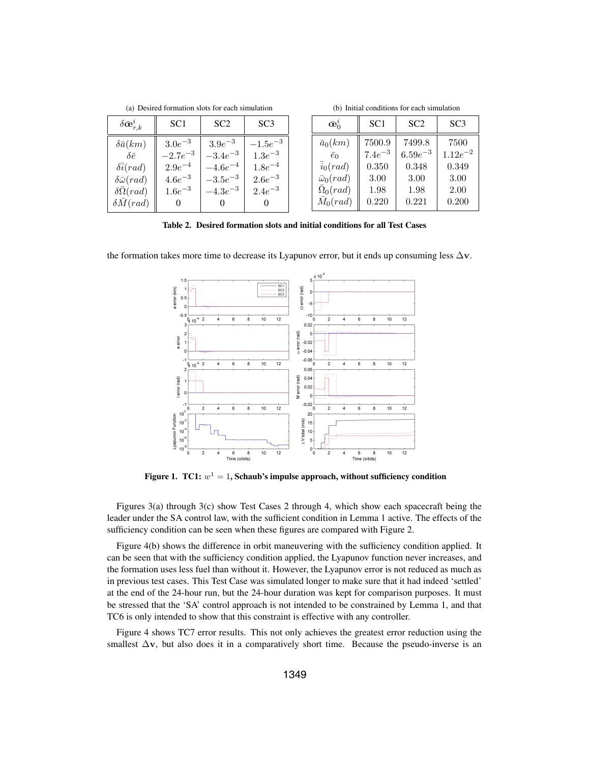(b) Initial conditions for each simulation

| $\delta \bar {\mathbf{c}}_{r,k}^i$ | SC <sub>1</sub> | SC <sub>2</sub> | SC <sub>3</sub> | $\bar{\mathbf{e}}_0^i$ | SC <sub>1</sub> | SC2          | SC <sub>3</sub> |
|------------------------------------|-----------------|-----------------|-----------------|------------------------|-----------------|--------------|-----------------|
| $\delta \bar{a}(km)$               | $3.0e^{-3}$     | $3.9e^{-3}$     | $-1.5e^{-3}$    | $\bar{a}_0(km)$        | 7500.9          | 7499.8       | 7500            |
| $\delta \bar{e}$                   | $-2.7e^{-3}$    | $-3.4e^{-3}$    | $1.3e^{-3}$     | $\bar{e}_0$            | $7.4e^{-3}$     | $6.59e^{-3}$ | $1.12e^{-2}$    |
| $\delta \bar{i}(rad)$              | $2.9e^{-4}$     | $-4.6e^{-4}$    | $1.8e^{-4}$     | $i_0(rad)$             | 0.350           | 0.348        | 0.349           |
| $\delta\bar{\omega}(rad)$          | $4.6e^{-3}$     | $-3.5e^{-3}$    | $2.6e^{-3}$     | $\bar{\omega}_0(rad)$  | 3.00            | 3.00         | 3.00            |
| $\delta\bar{\Omega}(rad)$          | $1.6e^{-3}$     | $-4.3e^{-3}$    | $2.4e^{-3}$     | $\Omega_0(rad)$        | 1.98            | 1.98         | 2.00            |
| $\delta \bar{M}(rad)$              | 0               |                 |                 | $M_0(rad)$             | 0.220           | 0.221        | 0.200           |

Table 2. Desired formation slots and initial conditions for all Test Cases

the formation takes more time to decrease its Lyapunov error, but it ends up consuming less  $\Delta v$ .



Figure 1. TC1:  $w^1 = 1$ , Schaub's impulse approach, without sufficiency condition

Figures 3(a) through 3(c) show Test Cases 2 through 4, which show each spacecraft being the leader under the SA control law, with the sufficient condition in Lemma 1 active. The effects of the sufficiency condition can be seen when these figures are compared with Figure 2.

Figure 4(b) shows the difference in orbit maneuvering with the sufficiency condition applied. It can be seen that with the sufficiency condition applied, the Lyapunov function never increases, and the formation uses less fuel than without it. However, the Lyapunov error is not reduced as much as in previous test cases. This Test Case was simulated longer to make sure that it had indeed 'settled' at the end of the 24-hour run, but the 24-hour duration was kept for comparison purposes. It must be stressed that the 'SA' control approach is not intended to be constrained by Lemma 1, and that TC6 is only intended to show that this constraint is effective with any controller.

Figure 4 shows TC7 error results. This not only achieves the greatest error reduction using the smallest  $\Delta v$ , but also does it in a comparatively short time. Because the pseudo-inverse is an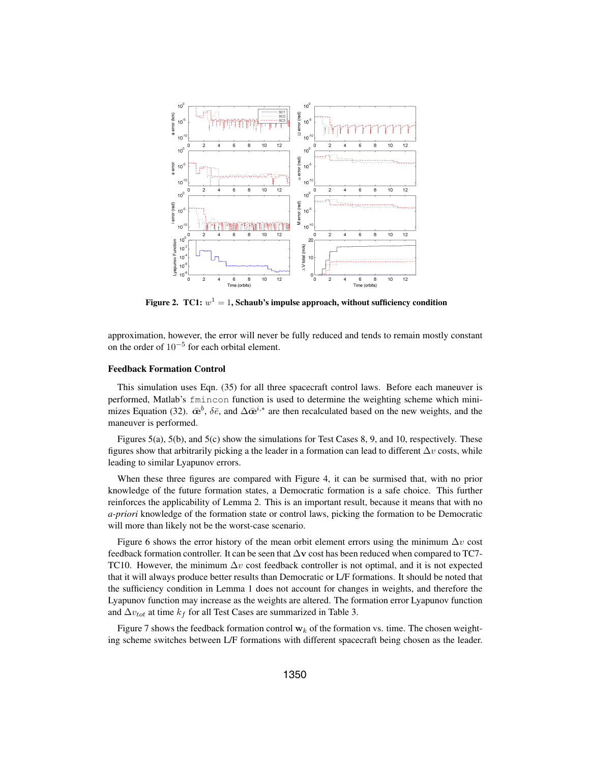

Figure 2. TC1:  $w^1 = 1$ , Schaub's impulse approach, without sufficiency condition

approximation, however, the error will never be fully reduced and tends to remain mostly constant on the order of 10−<sup>5</sup> for each orbital element.

### Feedback Formation Control

This simulation uses Eqn. (35) for all three spacecraft control laws. Before each maneuver is performed, Matlab's fmincon function is used to determine the weighting scheme which minimizes Equation (32).  $\bar{\mathbf{\alpha}}^b$ ,  $\delta \bar{e}$ , and  $\Delta \bar{\mathbf{\alpha}}^{i,*}$  are then recalculated based on the new weights, and the maneuver is performed.

Figures 5(a), 5(b), and 5(c) show the simulations for Test Cases 8, 9, and 10, respectively. These figures show that arbitrarily picking a the leader in a formation can lead to different  $\Delta v$  costs, while leading to similar Lyapunov errors.

When these three figures are compared with Figure 4, it can be surmised that, with no prior knowledge of the future formation states, a Democratic formation is a safe choice. This further reinforces the applicability of Lemma 2. This is an important result, because it means that with no *a-priori* knowledge of the formation state or control laws, picking the formation to be Democratic will more than likely not be the worst-case scenario.

Figure 6 shows the error history of the mean orbit element errors using the minimum  $\Delta v$  cost feedback formation controller. It can be seen that <sup>Δ</sup>**v** cost has been reduced when compared to TC7- TC10. However, the minimum  $\Delta v$  cost feedback controller is not optimal, and it is not expected that it will always produce better results than Democratic or L/F formations. It should be noted that the sufficiency condition in Lemma 1 does not account for changes in weights, and therefore the Lyapunov function may increase as the weights are altered. The formation error Lyapunov function and  $\Delta v_{tot}$  at time  $k_f$  for all Test Cases are summarized in Table 3.

Figure 7 shows the feedback formation control  $\mathbf{w}_k$  of the formation vs. time. The chosen weighting scheme switches between L/F formations with different spacecraft being chosen as the leader.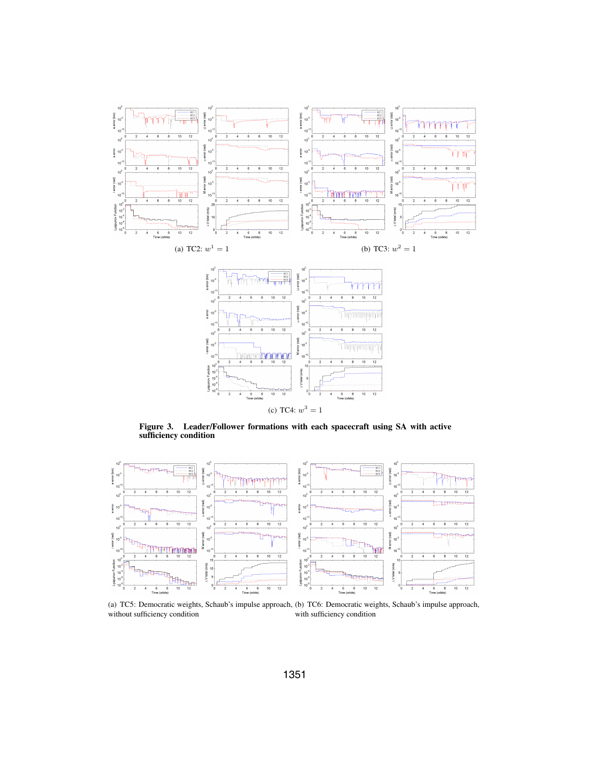



Figure 3. Leader/Follower formations with each spacecraft using SA with active sufficiency condition



(a) TC5: Democratic weights, Schaub's impulse approach, (b) TC6: Democratic weights, Schaub's impulse approach, without sufficiency condition with sufficiency condition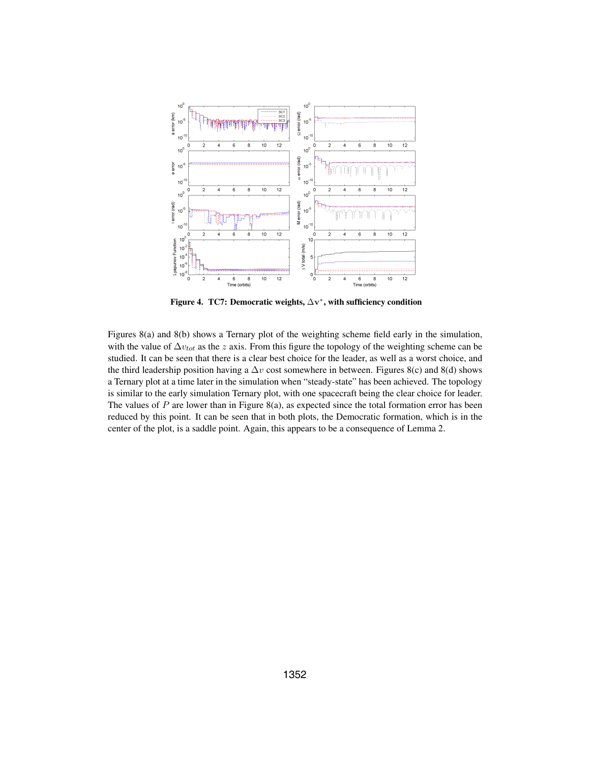

Figure 4. TC7: Democratic weights, <sup>Δ</sup>**v**<sup>∗</sup>, with sufficiency condition

Figures 8(a) and 8(b) shows a Ternary plot of the weighting scheme field early in the simulation, with the value of  $\Delta v_{tot}$  as the z axis. From this figure the topology of the weighting scheme can be studied. It can be seen that there is a clear best choice for the leader, as well as a worst choice, and the third leadership position having a  $\Delta v$  cost somewhere in between. Figures 8(c) and 8(d) shows a Ternary plot at a time later in the simulation when "steady-state" has been achieved. The topology is similar to the early simulation Ternary plot, with one spacecraft being the clear choice for leader. The values of  $P$  are lower than in Figure 8(a), as expected since the total formation error has been reduced by this point. It can be seen that in both plots, the Democratic formation, which is in the center of the plot, is a saddle point. Again, this appears to be a consequence of Lemma 2.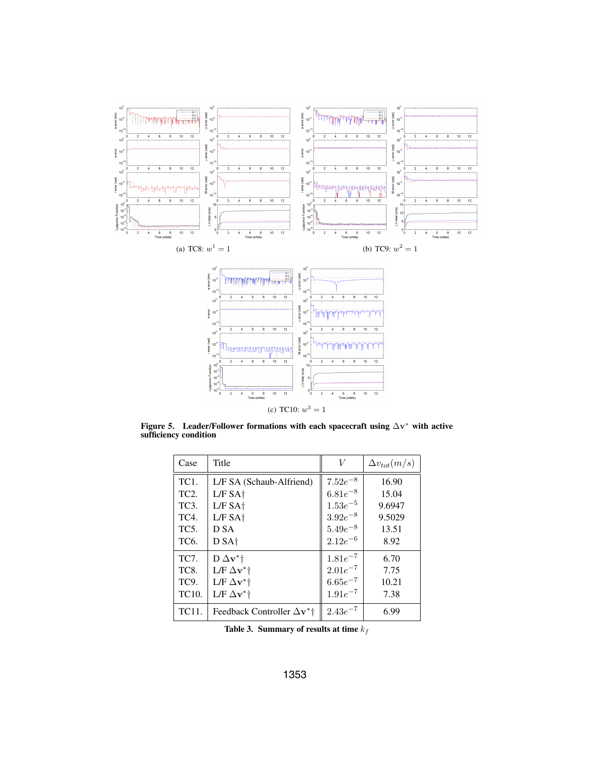

(c) TC10:  $w^3 = 1$ 

Figure 5. Leader/Follower formations with each spacecraft using <sup>Δ</sup>**v**<sup>∗</sup> with active sufficiency condition

| Case              | Title                              | V            | $\Delta v_{tot}(m/s)$ |
|-------------------|------------------------------------|--------------|-----------------------|
| TC <sub>1</sub> . | L/F SA (Schaub-Alfriend)           | $7.52e^{-8}$ | 16.90                 |
| TC <sub>2</sub> . | L/F SAt                            | $6.81e^{-8}$ | 15.04                 |
| TC <sub>3</sub> . | L/F SAt                            | $1.53e^{-5}$ | 9.6947                |
| TC4.              | $L/F$ SA $\dagger$                 | $3.92e^{-8}$ | 9.5029                |
| TC <sub>5</sub> . | D SA                               | $5.49e^{-8}$ | 13.51                 |
| TC <sub>6</sub> . | D SA <sup>+</sup>                  | $2.12e^{-6}$ | 8.92                  |
| TC7.              | $D \Delta v^*$                     | $1.81e^{-7}$ | 6.70                  |
| TC8.              | $L/F \Delta v^+$                   | $2.01e^{-7}$ | 7.75                  |
| TC9.              | $L/F \Delta v^+$                   | $6.65e^{-7}$ | 10.21                 |
| TC10.             | $L/F \Delta v^*$ †                 | $1.91e^{-7}$ | 7.38                  |
| TC11.             | Feedback Controller $\Delta v^*$ † | $2.43e^{-7}$ | 6.99                  |

Table 3. Summary of results at time  $k_f$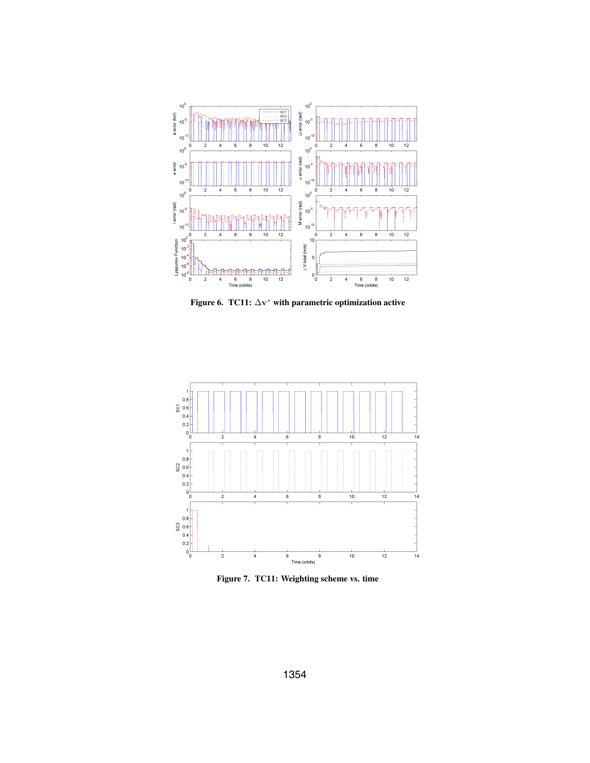

Figure 6. TC11:  $\Delta v^*$  with parametric optimization active



Figure 7. TC11: Weighting scheme vs. time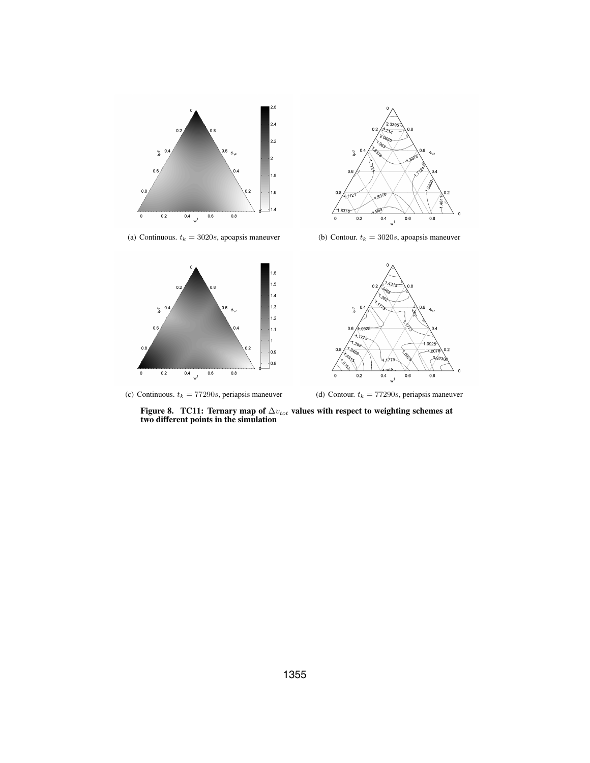



(a) Continuous.  $t_k = 3020s$ , apoapsis maneuver (b) Contour.  $t_k = 3020s$ , apoapsis maneuver





(c) Continuous.  $t_k = 77290s$ , periapsis maneuver (d) Contour.  $t_k = 77290s$ , periapsis maneuver

Figure 8. TC11: Ternary map of  $\Delta v_{tot}$  values with respect to weighting schemes at two different points in the simulation